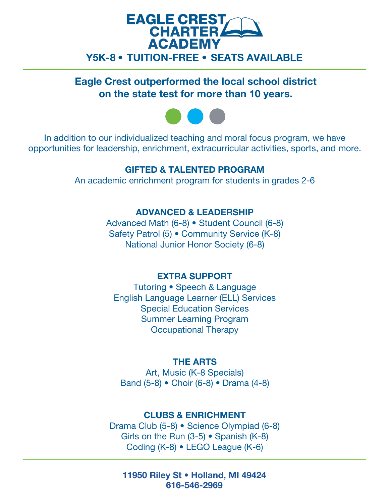

Eagle Crest outperformed the local school district on the state test for more than 10 years.



In addition to our individualized teaching and moral focus program, we have opportunities for leadership, enrichment, extracurricular activities, sports, and more.

# GIFTED & TALENTED PROGRAM

An academic enrichment program for students in grades 2-6

# ADVANCED & LEADERSHIP

 National Junior Honor Society (6-8) Advanced Math (6-8) • Student Council (6-8) Safety Patrol (5) • Community Service (K-8)

# EXTRA SUPPORT

Tutoring • Speech & Language English Language Learner (ELL) Services Special Education Services Summer Learning Program Occupational Therapy

# THE ARTS

Art, Music (K-8 Specials) Band (5-8) • Choir (6-8) • Drama (4-8)

# CLUBS & ENRICHMENT

Drama Club (5-8) • Science Olympiad (6-8) Girls on the Run (3-5) • Spanish (K-8) Coding (K-8) • LEGO League (K-6)

11950 Riley St • Holland, MI 49424 616-546-2969